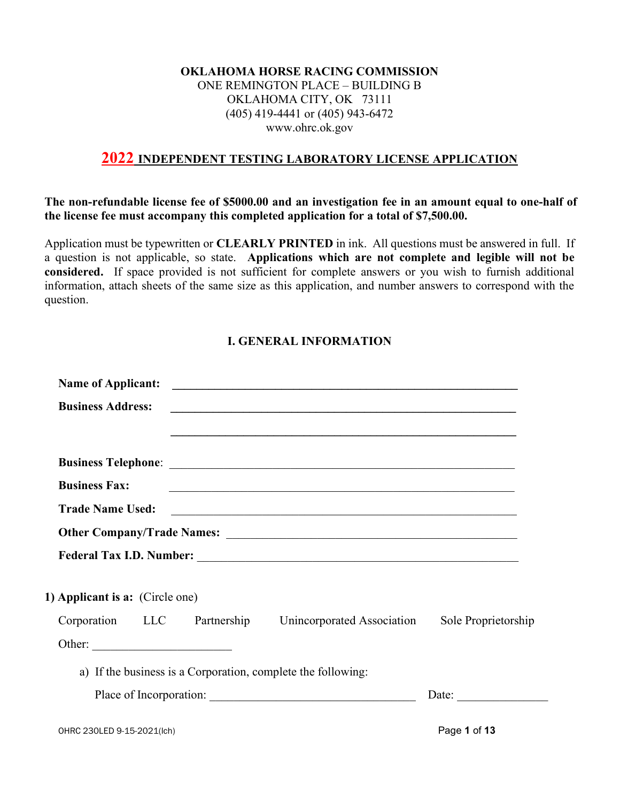#### OKLAHOMA HORSE RACING COMMISSION ONE REMINGTON PLACE – BUILDING B OKLAHOMA CITY, OK 73111 (405) 419-4441 or (405) 943-6472 www.ohrc.ok.gov

# 2022 INDEPENDENT TESTING LABORATORY LICENSE APPLICATION

The non-refundable license fee of \$5000.00 and an investigation fee in an amount equal to one-half of the license fee must accompany this completed application for a total of \$7,500.00.

Application must be typewritten or **CLEARLY PRINTED** in ink. All questions must be answered in full. If a question is not applicable, so state. Applications which are not complete and legible will not be considered. If space provided is not sufficient for complete answers or you wish to furnish additional information, attach sheets of the same size as this application, and number answers to correspond with the question.

## I. GENERAL INFORMATION

| <b>Name of Applicant:</b>       |  | <u> 1989 - Johann John Barn, mars ar breithinn ar breithinn an t-Amhain ann an t-Amhain an t-Amhain an t-Amhain a</u>           |                     |
|---------------------------------|--|---------------------------------------------------------------------------------------------------------------------------------|---------------------|
| <b>Business Address:</b>        |  | <u> 1989 - Johann Stoff, amerikansk politiker (d. 1989)</u><br><u> 1980 - Andrea Stadt Britain, amerikansk politik (* 1908)</u> |                     |
|                                 |  |                                                                                                                                 |                     |
| <b>Business Fax:</b>            |  | <u> 1989 - Johann Stoff, amerikansk politiker (d. 1989)</u>                                                                     |                     |
| <b>Trade Name Used:</b>         |  | <u> Alexandria de la contrada de la contrada de la contrada de la contrada de la contrada de la contrada de la c</u>            |                     |
|                                 |  |                                                                                                                                 |                     |
|                                 |  |                                                                                                                                 |                     |
| 1) Applicant is a: (Circle one) |  |                                                                                                                                 |                     |
| Corporation LLC Partnership     |  | Unincorporated Association                                                                                                      | Sole Proprietorship |
|                                 |  |                                                                                                                                 |                     |
|                                 |  | a) If the business is a Corporation, complete the following:                                                                    |                     |
|                                 |  |                                                                                                                                 |                     |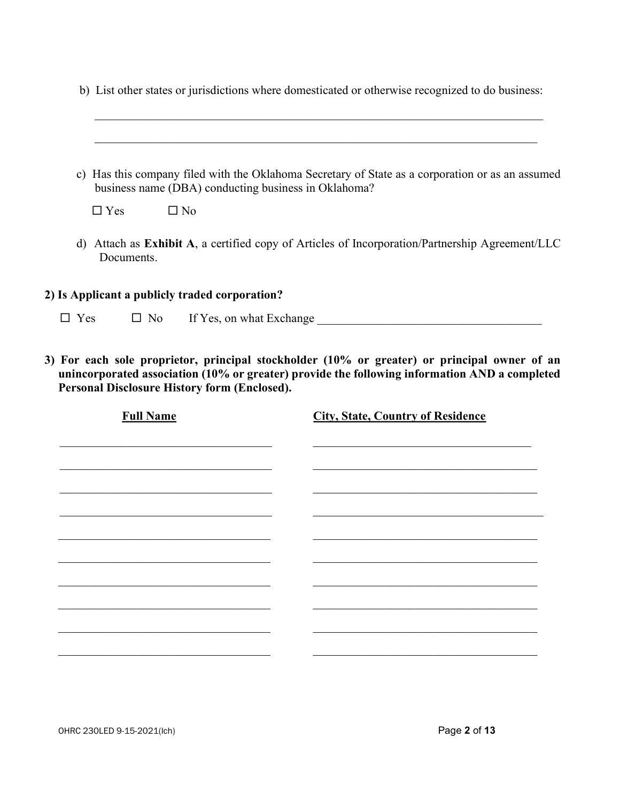|  |  | b) List other states or jurisdictions where domesticated or otherwise recognized to do business: |
|--|--|--------------------------------------------------------------------------------------------------|
|  |  |                                                                                                  |

|            | c) Has this company filed with the Oklahoma Secretary of State as a corporation or as an assumed<br>business name (DBA) conducting business in Oklahoma? |
|------------|----------------------------------------------------------------------------------------------------------------------------------------------------------|
| $\Box$ Yes | $\Box$ No                                                                                                                                                |
| Documents. | d) Attach as Exhibit A, a certified copy of Articles of Incorporation/Partnership Agreement/LLC                                                          |
|            |                                                                                                                                                          |
|            | 2) Is Applicant a publicly traded corporation?                                                                                                           |

| <b>Full Name</b> | <b>City, State, Country of Residence</b> |
|------------------|------------------------------------------|
|                  |                                          |
|                  |                                          |
|                  |                                          |
|                  |                                          |
|                  |                                          |
|                  |                                          |
|                  |                                          |
|                  |                                          |
|                  |                                          |

Personal Disclosure History form (Enclosed).

 $2)$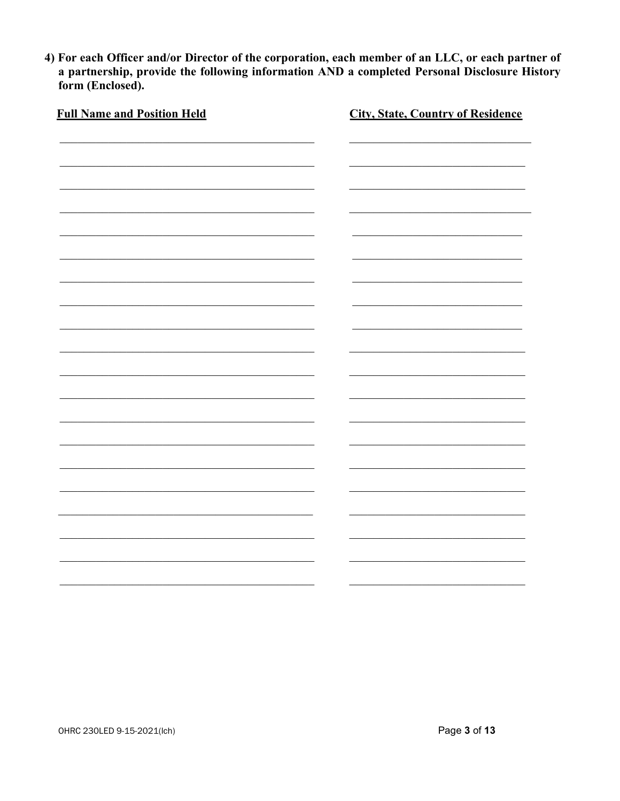4) For each Officer and/or Director of the corporation, each member of an LLC, or each partner of a partnership, provide the following information AND a completed Personal Disclosure History form (Enclosed).

| <b>Full Name and Position Held</b> | <b>City, State, Country of Residence</b> |
|------------------------------------|------------------------------------------|
|                                    |                                          |
|                                    |                                          |
|                                    |                                          |
|                                    |                                          |
|                                    |                                          |
|                                    |                                          |
|                                    |                                          |
|                                    |                                          |
|                                    |                                          |
|                                    |                                          |
|                                    |                                          |
|                                    |                                          |
|                                    |                                          |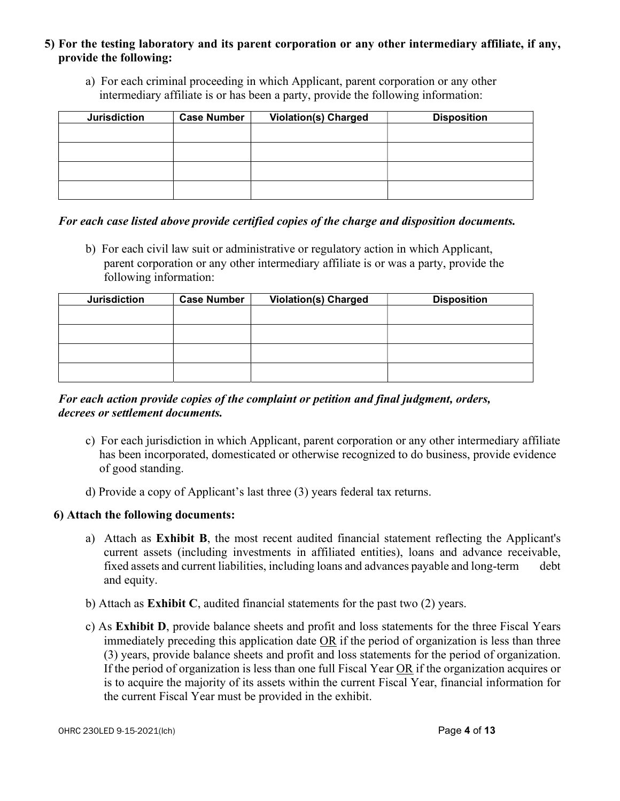#### 5) For the testing laboratory and its parent corporation or any other intermediary affiliate, if any, provide the following:

a) For each criminal proceeding in which Applicant, parent corporation or any other intermediary affiliate is or has been a party, provide the following information:

| <b>Jurisdiction</b> | <b>Case Number</b> | <b>Violation(s) Charged</b> | <b>Disposition</b> |
|---------------------|--------------------|-----------------------------|--------------------|
|                     |                    |                             |                    |
|                     |                    |                             |                    |
|                     |                    |                             |                    |
|                     |                    |                             |                    |

#### For each case listed above provide certified copies of the charge and disposition documents.

b) For each civil law suit or administrative or regulatory action in which Applicant, parent corporation or any other intermediary affiliate is or was a party, provide the following information:

| <b>Jurisdiction</b> | <b>Case Number</b> | <b>Violation(s) Charged</b> | <b>Disposition</b> |
|---------------------|--------------------|-----------------------------|--------------------|
|                     |                    |                             |                    |
|                     |                    |                             |                    |
|                     |                    |                             |                    |
|                     |                    |                             |                    |
|                     |                    |                             |                    |

#### For each action provide copies of the complaint or petition and final judgment, orders, decrees or settlement documents.

- c) For each jurisdiction in which Applicant, parent corporation or any other intermediary affiliate has been incorporated, domesticated or otherwise recognized to do business, provide evidence of good standing.
- d) Provide a copy of Applicant's last three (3) years federal tax returns.

## 6) Attach the following documents:

- a) Attach as Exhibit B, the most recent audited financial statement reflecting the Applicant's current assets (including investments in affiliated entities), loans and advance receivable, fixed assets and current liabilities, including loans and advances payable and long-term debt and equity.
- b) Attach as Exhibit C, audited financial statements for the past two (2) years.
- c) As Exhibit D, provide balance sheets and profit and loss statements for the three Fiscal Years immediately preceding this application date OR if the period of organization is less than three (3) years, provide balance sheets and profit and loss statements for the period of organization. If the period of organization is less than one full Fiscal Year OR if the organization acquires or is to acquire the majority of its assets within the current Fiscal Year, financial information for the current Fiscal Year must be provided in the exhibit.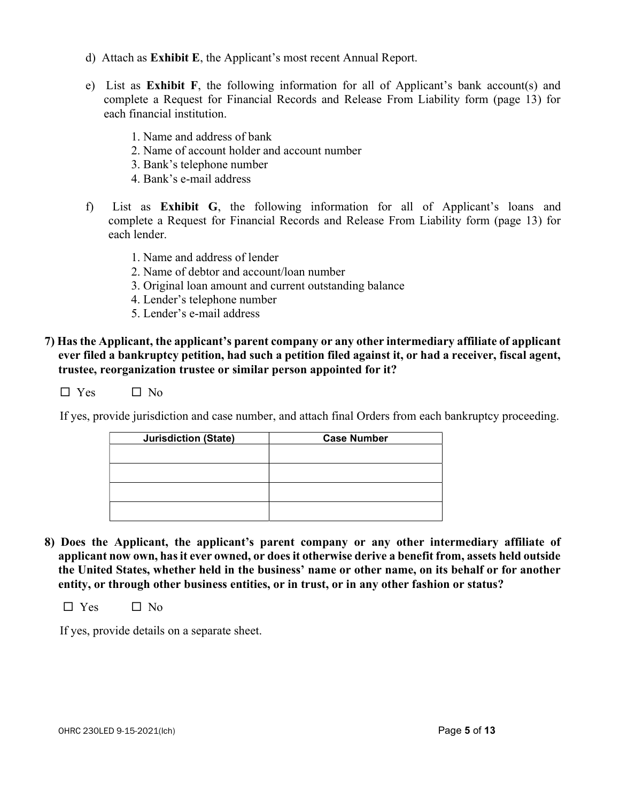- d) Attach as Exhibit E, the Applicant's most recent Annual Report.
- e) List as Exhibit F, the following information for all of Applicant's bank account(s) and complete a Request for Financial Records and Release From Liability form (page 13) for each financial institution.
	- 1. Name and address of bank
	- 2. Name of account holder and account number
	- 3. Bank's telephone number
	- 4. Bank's e-mail address
- f) List as Exhibit G, the following information for all of Applicant's loans and complete a Request for Financial Records and Release From Liability form (page 13) for each lender.
	- 1. Name and address of lender
	- 2. Name of debtor and account/loan number
	- 3. Original loan amount and current outstanding balance
	- 4. Lender's telephone number
	- 5. Lender's e-mail address
- 7) Has the Applicant, the applicant's parent company or any other intermediary affiliate of applicant ever filed a bankruptcy petition, had such a petition filed against it, or had a receiver, fiscal agent, trustee, reorganization trustee or similar person appointed for it?

 $\Box$  Yes  $\Box$  No

If yes, provide jurisdiction and case number, and attach final Orders from each bankruptcy proceeding.

| <b>Jurisdiction (State)</b> | <b>Case Number</b> |  |
|-----------------------------|--------------------|--|
|                             |                    |  |
|                             |                    |  |
|                             |                    |  |
|                             |                    |  |
|                             |                    |  |
|                             |                    |  |
|                             |                    |  |

8) Does the Applicant, the applicant's parent company or any other intermediary affiliate of applicant now own, has it ever owned, or does it otherwise derive a benefit from, assets held outside the United States, whether held in the business' name or other name, on its behalf or for another entity, or through other business entities, or in trust, or in any other fashion or status?

 $\Box$  Yes  $\Box$  No

If yes, provide details on a separate sheet.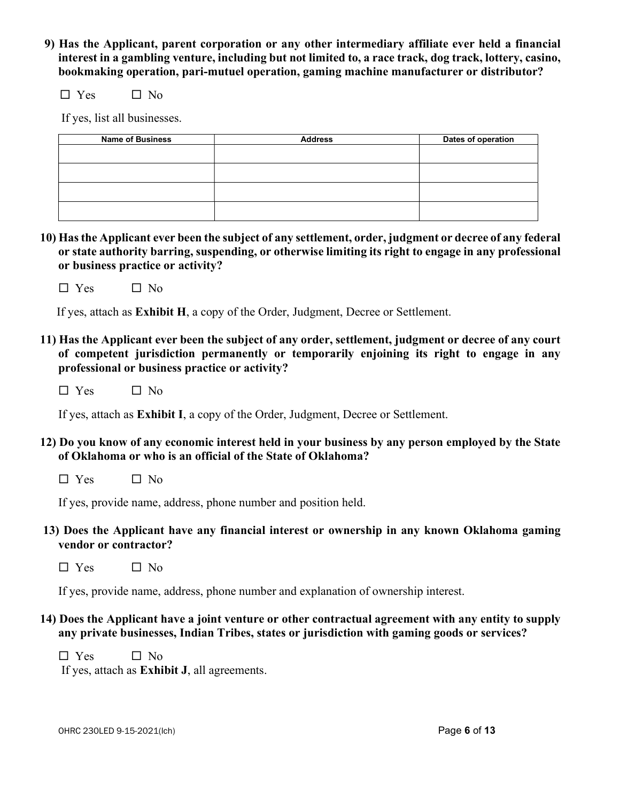9) Has the Applicant, parent corporation or any other intermediary affiliate ever held a financial interest in a gambling venture, including but not limited to, a race track, dog track, lottery, casino, bookmaking operation, pari-mutuel operation, gaming machine manufacturer or distributor?

 $\Box$  Yes  $\Box$  No

If yes, list all businesses.

| <b>Address</b> | Dates of operation |
|----------------|--------------------|
|                |                    |
|                |                    |
|                |                    |
|                |                    |
|                |                    |

- 10) Has the Applicant ever been the subject of any settlement, order, judgment or decree of any federal or state authority barring, suspending, or otherwise limiting its right to engage in any professional or business practice or activity?
	- $\Box$  Yes  $\Box$  No

If yes, attach as Exhibit H, a copy of the Order, Judgment, Decree or Settlement.

- 11) Has the Applicant ever been the subject of any order, settlement, judgment or decree of any court of competent jurisdiction permanently or temporarily enjoining its right to engage in any professional or business practice or activity?
	- $\square$  Yes  $\square$  No

If yes, attach as Exhibit I, a copy of the Order, Judgment, Decree or Settlement.

- 12) Do you know of any economic interest held in your business by any person employed by the State of Oklahoma or who is an official of the State of Oklahoma?
	- $\Box$  Yes  $\Box$  No

If yes, provide name, address, phone number and position held.

- 13) Does the Applicant have any financial interest or ownership in any known Oklahoma gaming vendor or contractor?
	- $\Box$  Yes  $\Box$  No

If yes, provide name, address, phone number and explanation of ownership interest.

14) Does the Applicant have a joint venture or other contractual agreement with any entity to supply any private businesses, Indian Tribes, states or jurisdiction with gaming goods or services?

 $\Box$  Yes  $\Box$  No If yes, attach as Exhibit J, all agreements.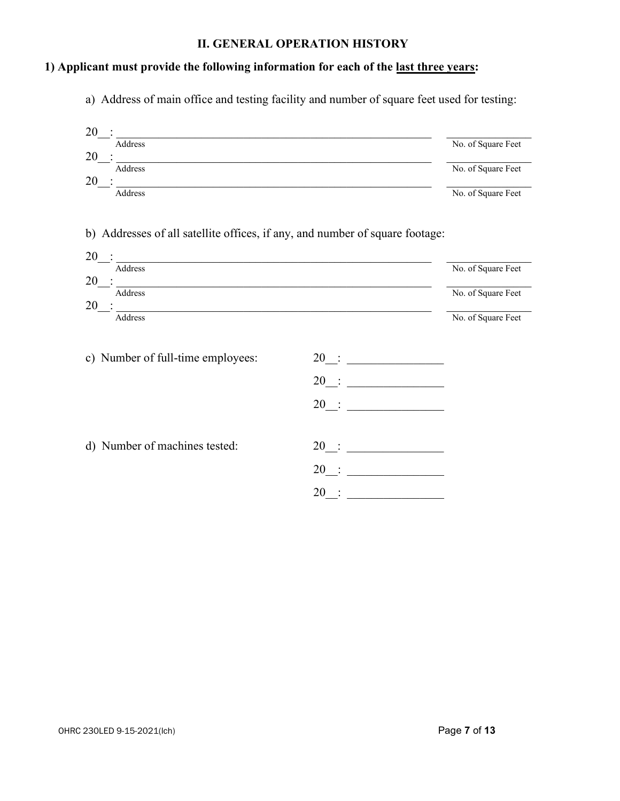## II. GENERAL OPERATION HISTORY

#### 1) Applicant must provide the following information for each of the last three years:

a) Address of main office and testing facility and number of square feet used for testing:

| 20                                                                                                                                                                                                                                         |                                               |                    |
|--------------------------------------------------------------------------------------------------------------------------------------------------------------------------------------------------------------------------------------------|-----------------------------------------------|--------------------|
| Address                                                                                                                                                                                                                                    |                                               | No. of Square Feet |
| 20<br><u> 1980 - Johann Barbara, martxa alemaniar arg</u><br>Address                                                                                                                                                                       |                                               | No. of Square Feet |
| 20<br>Address                                                                                                                                                                                                                              |                                               | No. of Square Feet |
| b) Addresses of all satellite offices, if any, and number of square footage:                                                                                                                                                               |                                               |                    |
| 20<br><u> 1989 - Johann John Stone, market fan it fjort fan it fjort fan it fjort fan it fjort fan it fjort fan it fjort fan it fjort fan it fjort fan it fjort fan it fjort fan it fjort fan it fjort fan it fjort fan it fjort fan i</u> |                                               |                    |
| Address<br>20                                                                                                                                                                                                                              |                                               | No. of Square Feet |
| Address                                                                                                                                                                                                                                    |                                               | No. of Square Feet |
| 20<br><u> 1989 - Johann Harry Harry Harry Harry Harry Harry Harry Harry Harry Harry Harry Harry Harry Harry Harry Harry H</u><br>Address                                                                                                   |                                               | No. of Square Feet |
| c) Number of full-time employees:                                                                                                                                                                                                          | 20                                            |                    |
|                                                                                                                                                                                                                                            | 20                                            |                    |
|                                                                                                                                                                                                                                            | 20                                            |                    |
|                                                                                                                                                                                                                                            |                                               |                    |
| d) Number of machines tested:                                                                                                                                                                                                              | 20<br><u> 1990 - Johann Barbara, martin a</u> |                    |
|                                                                                                                                                                                                                                            | 20                                            |                    |
|                                                                                                                                                                                                                                            | 20                                            |                    |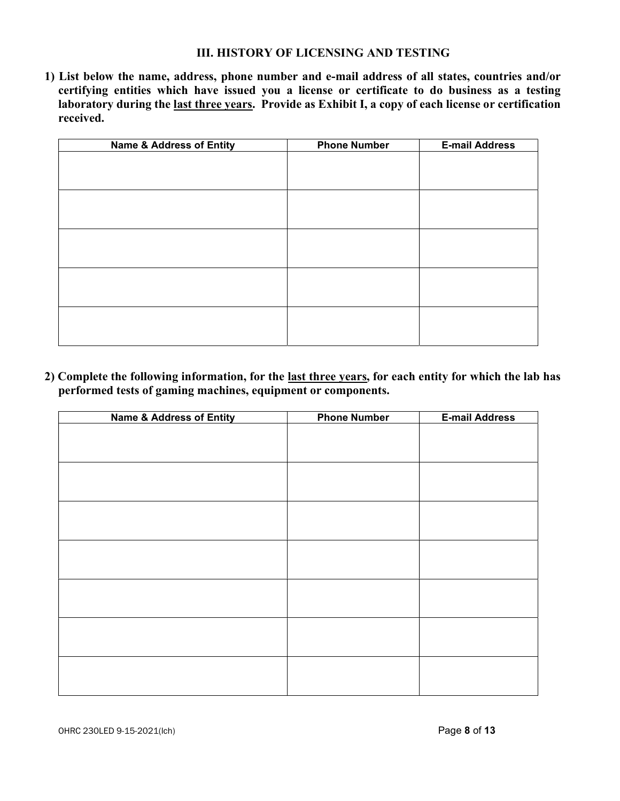#### III. HISTORY OF LICENSING AND TESTING

1) List below the name, address, phone number and e-mail address of all states, countries and/or certifying entities which have issued you a license or certificate to do business as a testing laboratory during the last three years. Provide as Exhibit I, a copy of each license or certification received.

| <b>Name &amp; Address of Entity</b> | <b>Phone Number</b> | <b>E-mail Address</b> |
|-------------------------------------|---------------------|-----------------------|
|                                     |                     |                       |
|                                     |                     |                       |
|                                     |                     |                       |
|                                     |                     |                       |
|                                     |                     |                       |
|                                     |                     |                       |
|                                     |                     |                       |
|                                     |                     |                       |
|                                     |                     |                       |
|                                     |                     |                       |
|                                     |                     |                       |
|                                     |                     |                       |
|                                     |                     |                       |
|                                     |                     |                       |

2) Complete the following information, for the last three years, for each entity for which the lab has performed tests of gaming machines, equipment or components.

| <b>Name &amp; Address of Entity</b> | <b>Phone Number</b> | <b>E-mail Address</b> |
|-------------------------------------|---------------------|-----------------------|
|                                     |                     |                       |
|                                     |                     |                       |
|                                     |                     |                       |
|                                     |                     |                       |
|                                     |                     |                       |
|                                     |                     |                       |
|                                     |                     |                       |
|                                     |                     |                       |
|                                     |                     |                       |
|                                     |                     |                       |
|                                     |                     |                       |
|                                     |                     |                       |
|                                     |                     |                       |
|                                     |                     |                       |
|                                     |                     |                       |
|                                     |                     |                       |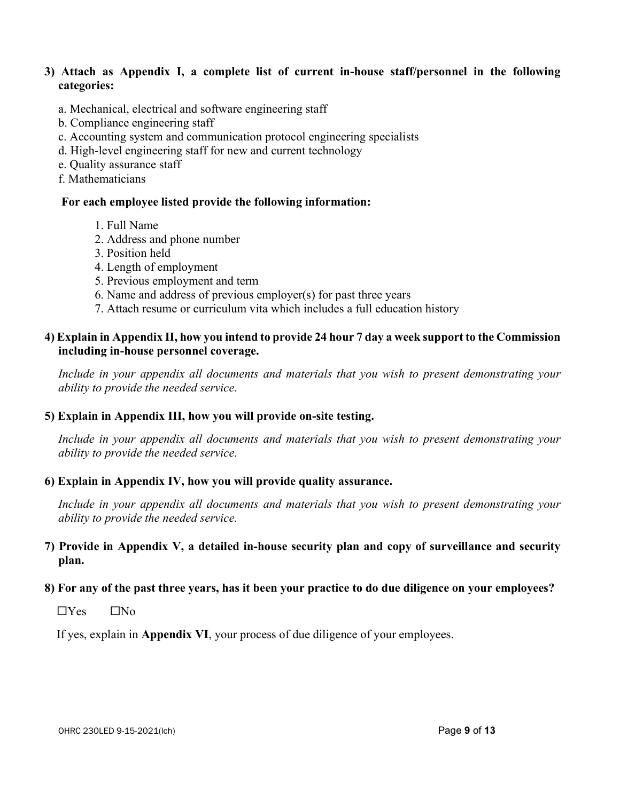#### 3) Attach as Appendix I, a complete list of current in-house staff/personnel in the following categories:

- a. Mechanical, electrical and software engineering staff
- b. Compliance engineering staff
- c. Accounting system and communication protocol engineering specialists
- d. High-level engineering staff for new and current technology
- e. Quality assurance staff
- f. Mathematicians

#### For each employee listed provide the following information:

- 1. Full Name
- 2. Address and phone number
- 3. Position held
- 4. Length of employment
- 5. Previous employment and term
- 6. Name and address of previous employer(s) for past three years
- 7. Attach resume or curriculum vita which includes a full education history

## 4) Explain in Appendix II, how you intend to provide 24 hour 7 day a week support to the Commission including in-house personnel coverage.

 Include in your appendix all documents and materials that you wish to present demonstrating your ability to provide the needed service.

#### 5) Explain in Appendix III, how you will provide on-site testing.

Include in your appendix all documents and materials that you wish to present demonstrating your ability to provide the needed service.

#### 6) Explain in Appendix IV, how you will provide quality assurance.

Include in your appendix all documents and materials that you wish to present demonstrating your ability to provide the needed service.

## 7) Provide in Appendix V, a detailed in-house security plan and copy of surveillance and security plan.

## 8) For any of the past three years, has it been your practice to do due diligence on your employees?

 $\Box$ Yes  $\Box$ No

If yes, explain in Appendix VI, your process of due diligence of your employees.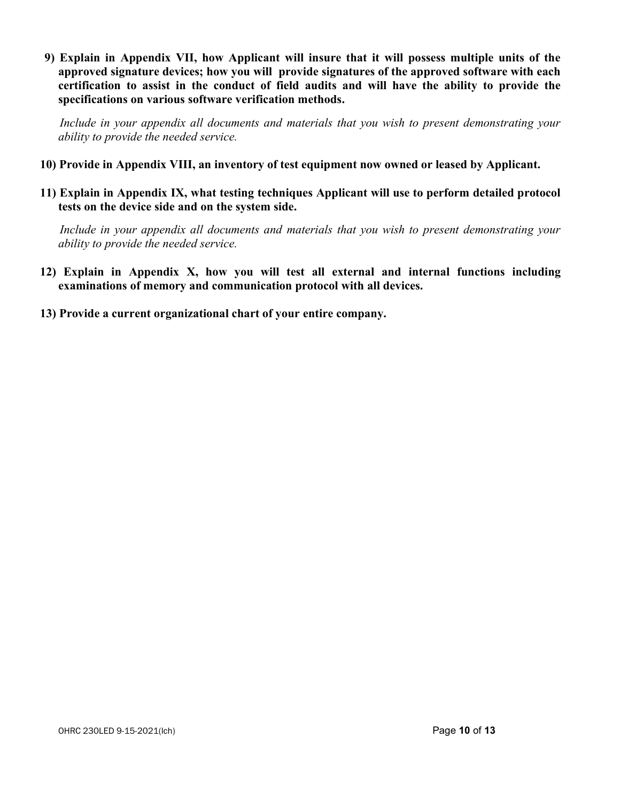9) Explain in Appendix VII, how Applicant will insure that it will possess multiple units of the approved signature devices; how you will provide signatures of the approved software with each certification to assist in the conduct of field audits and will have the ability to provide the specifications on various software verification methods.

 Include in your appendix all documents and materials that you wish to present demonstrating your ability to provide the needed service.

- 10) Provide in Appendix VIII, an inventory of test equipment now owned or leased by Applicant.
- 11) Explain in Appendix IX, what testing techniques Applicant will use to perform detailed protocol tests on the device side and on the system side.

 Include in your appendix all documents and materials that you wish to present demonstrating your ability to provide the needed service.

- 12) Explain in Appendix X, how you will test all external and internal functions including examinations of memory and communication protocol with all devices.
- 13) Provide a current organizational chart of your entire company.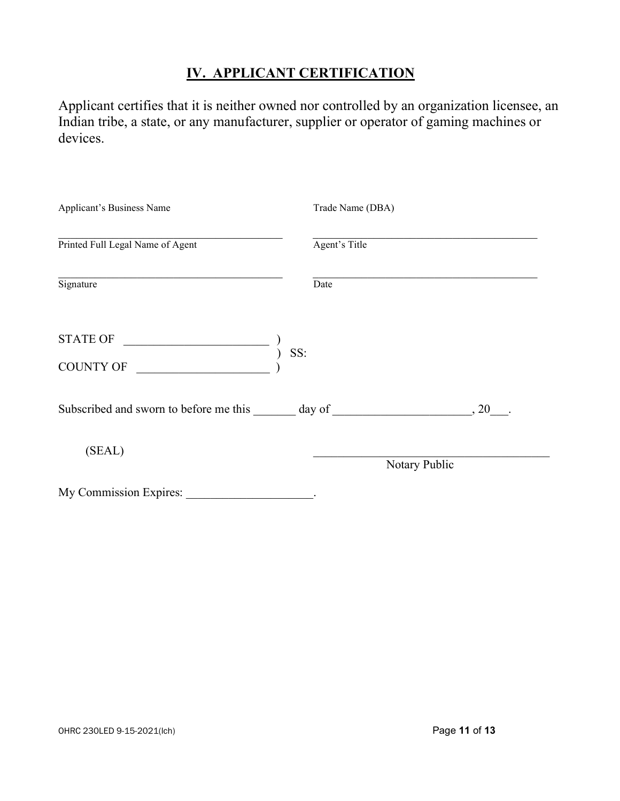## IV. APPLICANT CERTIFICATION

Applicant certifies that it is neither owned nor controlled by an organization licensee, an Indian tribe, a state, or any manufacturer, supplier or operator of gaming machines or devices.

| Applicant's Business Name                                            |      | Trade Name (DBA) |               |      |
|----------------------------------------------------------------------|------|------------------|---------------|------|
| Printed Full Legal Name of Agent                                     |      | Agent's Title    |               |      |
| Signature                                                            | Date |                  |               |      |
| <b>STATE OF</b><br><u> 1989 - Johann Barnett, fransk politiker (</u> | SS:  |                  |               |      |
| COUNTY OF $\frac{1}{\sqrt{2\pi}}$                                    |      |                  |               |      |
| Subscribed and sworn to before me this day of                        |      |                  |               | , 20 |
| (SEAL)                                                               |      |                  | Notary Public |      |
| My Commission Expires:                                               |      |                  |               |      |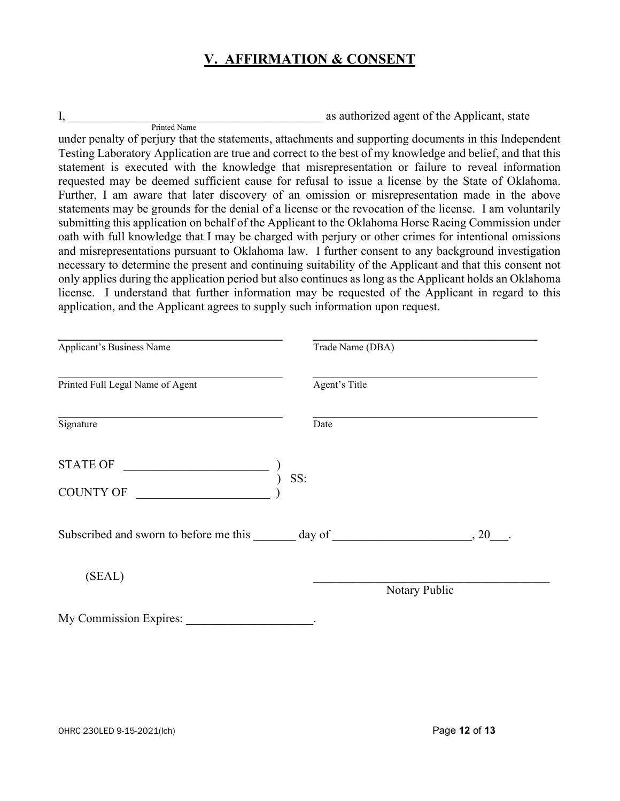## V. AFFIRMATION & CONSENT

I, the assessment of the Applicant, state and  $\alpha$  as authorized agent of the Applicant, state

 Printed Name under penalty of perjury that the statements, attachments and supporting documents in this Independent Testing Laboratory Application are true and correct to the best of my knowledge and belief, and that this statement is executed with the knowledge that misrepresentation or failure to reveal information requested may be deemed sufficient cause for refusal to issue a license by the State of Oklahoma. Further, I am aware that later discovery of an omission or misrepresentation made in the above statements may be grounds for the denial of a license or the revocation of the license. I am voluntarily submitting this application on behalf of the Applicant to the Oklahoma Horse Racing Commission under oath with full knowledge that I may be charged with perjury or other crimes for intentional omissions and misrepresentations pursuant to Oklahoma law. I further consent to any background investigation necessary to determine the present and continuing suitability of the Applicant and that this consent not only applies during the application period but also continues as long as the Applicant holds an Oklahoma license. I understand that further information may be requested of the Applicant in regard to this application, and the Applicant agrees to supply such information upon request.

| Applicant's Business Name                     |     | Trade Name (DBA) |               |
|-----------------------------------------------|-----|------------------|---------------|
| Printed Full Legal Name of Agent              |     | Agent's Title    |               |
| Signature                                     |     | Date             |               |
| <b>STATE OF</b>                               |     |                  |               |
| <b>COUNTY OF</b>                              | SS: |                  |               |
| Subscribed and sworn to before me this day of |     |                  | , 20          |
| (SEAL)                                        |     |                  | Notary Public |
| My Commission Expires:                        |     |                  |               |